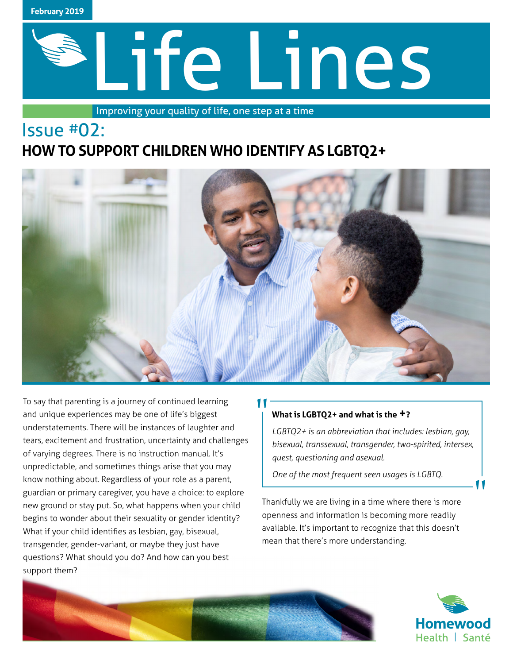

# Life Lines

Improving your quality of life, one step at a time

# Issue #02: **HOW TO SUPPORT CHILDREN WHO IDENTIFY AS LGBTQ2+**



"<br>|

To say that parenting is a journey of continued learning and unique experiences may be one of life's biggest understatements. There will be instances of laughter and tears, excitement and frustration, uncertainty and challenges of varying degrees. There is no instruction manual. It's unpredictable, and sometimes things arise that you may know nothing about. Regardless of your role as a parent, guardian or primary caregiver, you have a choice: to explore new ground or stay put. So, what happens when your child begins to wonder about their sexuality or gender identity? What if your child identifies as lesbian, gay, bisexual, transgender, gender-variant, or maybe they just have questions? What should you do? And how can you best support them?

### **What is LGBTQ2+ and what is the +?**

*LGBTQ2+ is an abbreviation that includes: lesbian, gay, bisexual, transsexual, transgender, two-spirited, intersex, quest, questioning and asexual.* 

*One of the most frequent seen usages is LGBTQ.*

Thankfully we are living in a time where there is more openness and information is becoming more readily available. It's important to recognize that this doesn't mean that there's more understanding.





"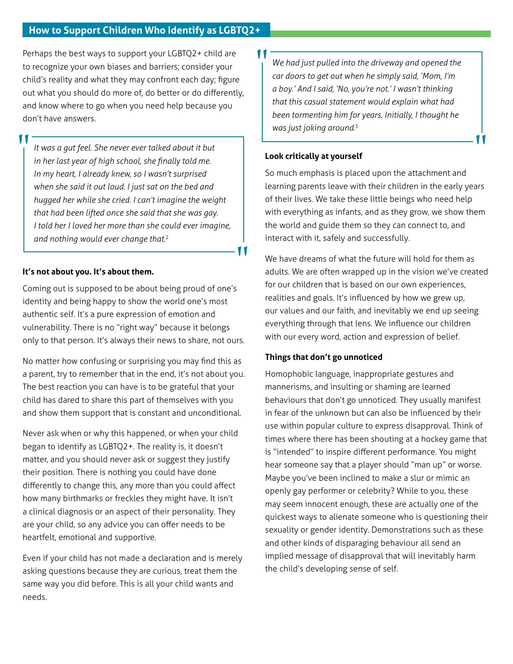## **How to Support Children Who Identify as LGBTQ2+**

Perhaps the best ways to support your LGBTQ2+ child are to recognize your own biases and barriers; consider your child's reality and what they may confront each day; figure out what you should do more of, do better or do differently, and know where to go when you need help because you don't have answers.

*It was a gut feel. She never ever talked about it but in her last year of high school, she finally told me. In my heart, I already knew, so I wasn't surprised when she said it out loud. I just sat on the bed and hugged her while she cried. I can't imagine the weight that had been lifted once she said that she was gay. I told her I loved her more than she could ever imagine, and nothing would ever change that.*<sup>2</sup>

#### **It's not about you. It's about them.**

"<br>|

Coming out is supposed to be about being proud of one's identity and being happy to show the world one's most authentic self. It's a pure expression of emotion and vulnerability. There is no "right way" because it belongs only to that person. It's always their news to share, not ours.

No matter how confusing or surprising you may find this as a parent, try to remember that in the end, it's not about you. The best reaction you can have is to be grateful that your child has dared to share this part of themselves with you and show them support that is constant and unconditional.

Never ask when or why this happened, or when your child began to identify as LGBTQ2+. The reality is, it doesn't matter, and you should never ask or suggest they justify their position. There is nothing you could have done differently to change this, any more than you could affect how many birthmarks or freckles they might have. It isn't a clinical diagnosis or an aspect of their personality. They are your child, so any advice you can offer needs to be heartfelt, emotional and supportive.

Even if your child has not made a declaration and is merely asking questions because they are curious, treat them the same way you did before. This is all your child wants and needs.

*We had just pulled into the driveway and opened the car doors to get out when he simply said, 'Mom, I'm a boy.' And I said, 'No, you're not.' I wasn't thinking that this casual statement would explain what had been tormenting him for years. Initially, I thought he was just joking around.*<sup>3</sup>

#### **Look critically at yourself**

"

"

So much emphasis is placed upon the attachment and learning parents leave with their children in the early years of their lives. We take these little beings who need help with everything as infants, and as they grow, we show them the world and guide them so they can connect to, and interact with it, safely and successfully.

"

We have dreams of what the future will hold for them as adults. We are often wrapped up in the vision we've created for our children that is based on our own experiences, realities and goals. It's influenced by how we grew up, our values and our faith, and inevitably we end up seeing everything through that lens. We influence our children with our every word, action and expression of belief.

#### **Things that don't go unnoticed**

Homophobic language, inappropriate gestures and mannerisms, and insulting or shaming are learned behaviours that don't go unnoticed. They usually manifest in fear of the unknown but can also be influenced by their use within popular culture to express disapproval. Think of times where there has been shouting at a hockey game that is "intended" to inspire different performance. You might hear someone say that a player should "man up" or worse. Maybe you've been inclined to make a slur or mimic an openly gay performer or celebrity? While to you, these may seem innocent enough, these are actually one of the quickest ways to alienate someone who is questioning their sexuality or gender identity. Demonstrations such as these and other kinds of disparaging behaviour all send an implied message of disapproval that will inevitably harm the child's developing sense of self.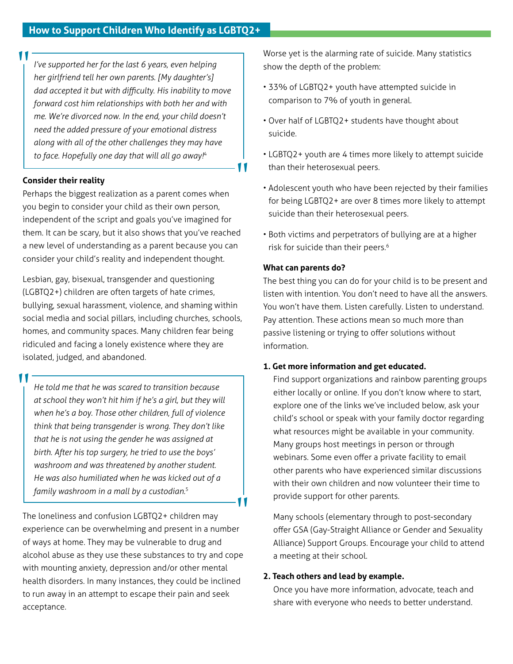*I've supported her for the last 6 years, even helping her girlfriend tell her own parents. [My daughter's] dad accepted it but with difficulty. His inability to move forward cost him relationships with both her and with me. We're divorced now. In the end, your child doesn't need the added pressure of your emotional distress along with all of the other challenges they may have to face. Hopefully one day that will all go away!*<sup>4</sup>

#### **Consider their reality**

"<br>|

Perhaps the biggest realization as a parent comes when you begin to consider your child as their own person, independent of the script and goals you've imagined for them. It can be scary, but it also shows that you've reached a new level of understanding as a parent because you can consider your child's reality and independent thought.

Lesbian, gay, bisexual, transgender and questioning (LGBTQ2+) children are often targets of hate crimes, bullying, sexual harassment, violence, and shaming within social media and social pillars, including churches, schools, homes, and community spaces. Many children fear being ridiculed and facing a lonely existence where they are isolated, judged, and abandoned.

"<br>|

*He told me that he was scared to transition because at school they won't hit him if he's a girl, but they will when he's a boy. Those other children, full of violence think that being transgender is wrong. They don't like that he is not using the gender he was assigned at birth. After his top surgery, he tried to use the boys' washroom and was threatened by another student. He was also humiliated when he was kicked out of a family washroom in a mall by a custodian.*<sup>5</sup>

The loneliness and confusion LGBTQ2+ children may experience can be overwhelming and present in a number of ways at home. They may be vulnerable to drug and alcohol abuse as they use these substances to try and cope with mounting anxiety, depression and/or other mental health disorders. In many instances, they could be inclined to run away in an attempt to escape their pain and seek acceptance.

Worse yet is the alarming rate of suicide. Many statistics show the depth of the problem:

- 33% of LGBTQ2+ youth have attempted suicide in comparison to 7% of youth in general.
- Over half of LGBTQ2+ students have thought about suicide.
- LGBTQ2+ youth are 4 times more likely to attempt suicide than their heterosexual peers.
- Adolescent youth who have been rejected by their families for being LGBTQ2+ are over 8 times more likely to attempt suicide than their heterosexual peers.
- Both victims and perpetrators of bullying are at a higher risk for suicide than their peers.<sup>6</sup>

#### **What can parents do?**

**UV** 

"

The best thing you can do for your child is to be present and listen with intention. You don't need to have all the answers. You won't have them. Listen carefully. Listen to understand. Pay attention. These actions mean so much more than passive listening or trying to offer solutions without information.

#### **1. Get more information and get educated.**

 Find support organizations and rainbow parenting groups either locally or online. If you don't know where to start, explore one of the links we've included below, ask your child's school or speak with your family doctor regarding what resources might be available in your community. Many groups host meetings in person or through webinars. Some even offer a private facility to email other parents who have experienced similar discussions with their own children and now volunteer their time to provide support for other parents.

 Many schools (elementary through to post-secondary offer GSA (Gay-Straight Alliance or Gender and Sexuality Alliance) Support Groups. Encourage your child to attend a meeting at their school.

#### **2. Teach others and lead by example.**

 Once you have more information, advocate, teach and share with everyone who needs to better understand.